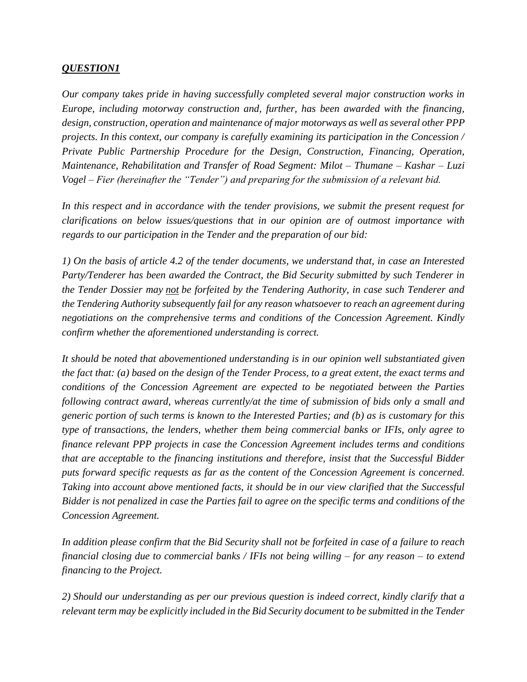## *QUESTION1*

*Our company takes pride in having successfully completed several major construction works in Europe, including motorway construction and, further, has been awarded with the financing, design, construction, operation and maintenance of major motorways as well as several other PPP projects. In this context, our company is carefully examining its participation in the Concession / Private Public Partnership Procedure for the Design, Construction, Financing, Operation, Maintenance, Rehabilitation and Transfer of Road Segment: Milot – Thumane – Kashar – Luzi Vogel – Fier (hereinafter the "Tender") and preparing for the submission of a relevant bid.*

*In this respect and in accordance with the tender provisions, we submit the present request for clarifications on below issues/questions that in our opinion are of outmost importance with regards to our participation in the Tender and the preparation of our bid:*

*1) On the basis of article 4.2 of the tender documents, we understand that, in case an Interested Party/Tenderer has been awarded the Contract, the Bid Security submitted by such Tenderer in the Tender Dossier may not be forfeited by the Tendering Authority, in case such Tenderer and the Tendering Authority subsequently fail for any reason whatsoever to reach an agreement during negotiations on the comprehensive terms and conditions of the Concession Agreement. Kindly confirm whether the aforementioned understanding is correct.*

*It should be noted that abovementioned understanding is in our opinion well substantiated given the fact that: (a) based on the design of the Tender Process, to a great extent, the exact terms and conditions of the Concession Agreement are expected to be negotiated between the Parties following contract award, whereas currently/at the time of submission of bids only a small and generic portion of such terms is known to the Interested Parties; and (b) as is customary for this type of transactions, the lenders, whether them being commercial banks or IFIs, only agree to finance relevant PPP projects in case the Concession Agreement includes terms and conditions that are acceptable to the financing institutions and therefore, insist that the Successful Bidder puts forward specific requests as far as the content of the Concession Agreement is concerned. Taking into account above mentioned facts, it should be in our view clarified that the Successful Bidder is not penalized in case the Parties fail to agree on the specific terms and conditions of the Concession Agreement.*

*In addition please confirm that the Bid Security shall not be forfeited in case of a failure to reach financial closing due to commercial banks / IFIs not being willing – for any reason – to extend financing to the Project.*

*2) Should our understanding as per our previous question is indeed correct, kindly clarify that a relevant term may be explicitly included in the Bid Security document to be submitted in the Tender*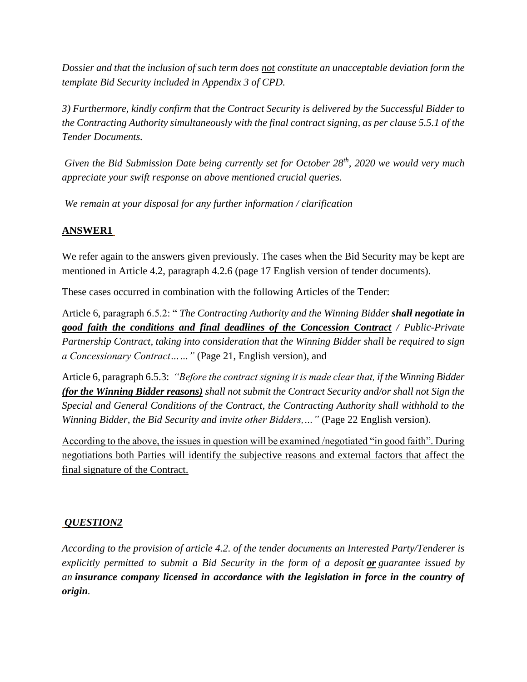*Dossier and that the inclusion of such term does not constitute an unacceptable deviation form the template Bid Security included in Appendix 3 of CPD.*

*3) Furthermore, kindly confirm that the Contract Security is delivered by the Successful Bidder to the Contracting Authority simultaneously with the final contract signing, as per clause 5.5.1 of the Tender Documents.*

*Given the Bid Submission Date being currently set for October 28th, 2020 we would very much appreciate your swift response on above mentioned crucial queries.*

*We remain at your disposal for any further information / clarification*

## **ANSWER1**

We refer again to the answers given previously. The cases when the Bid Security may be kept are mentioned in Article 4.2, paragraph 4.2.6 (page 17 English version of tender documents).

These cases occurred in combination with the following Articles of the Tender:

Article 6, paragraph 6.5.2: " *The Contracting Authority and the Winning Bidder shall negotiate in good faith the conditions and final deadlines of the Concession Contract / Public-Private Partnership Contract, taking into consideration that the Winning Bidder shall be required to sign a Concessionary Contract……"* (Page 21, English version), and

Article 6, paragraph 6.5.3: *"Before the contract signing it is made clear that, if the Winning Bidder (for the Winning Bidder reasons) shall not submit the Contract Security and/or shall not Sign the Special and General Conditions of the Contract, the Contracting Authority shall withhold to the Winning Bidder, the Bid Security and invite other Bidders,…"* (Page 22 English version).

According to the above, the issues in question will be examined /negotiated "in good faith". During negotiations both Parties will identify the subjective reasons and external factors that affect the final signature of the Contract.

## *QUESTION2*

*According to the provision of article 4.2. of the tender documents an Interested Party/Tenderer is explicitly permitted to submit a Bid Security in the form of a deposit or guarantee issued by an insurance company licensed in accordance with the legislation in force in the country of origin.*